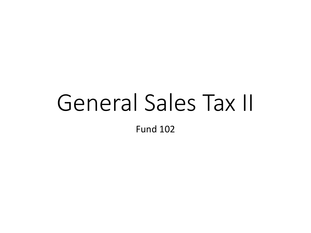## General Sales Tax II Fund 102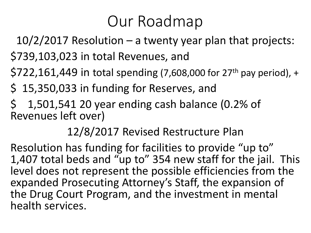## Our Roadmap

10/2/2017 Resolution – a twenty year plan that projects:

\$739,103,023 in total Revenues, and

 $$722,161,449$  in total spending (7,608,000 for 27<sup>th</sup> pay period), +

\$ 15,350,033 in funding for Reserves, and

\$ 1,501,541 20 year ending cash balance (0.2% of Revenues left over)

12/8/2017 Revised Restructure Plan

Resolution has funding for facilities to provide "up to" 1,407 total beds and "up to" 354 new staff for the jail. This level does not represent the possible efficiencies from the expanded Prosecuting Attorney's Staff, the expansion of the Drug Court Program, and the investment in mental health services.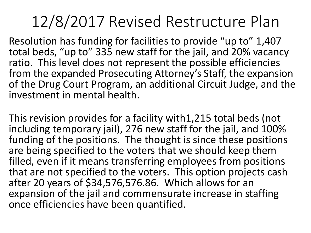## 12/8/2017 Revised Restructure Plan

Resolution has funding for facilities to provide "up to" 1,407 total beds, "up to" 335 new staff for the jail, and 20% vacancy ratio. This level does not represent the possible efficiencies from the expanded Prosecuting Attorney's Staff, the expansion of the Drug Court Program, an additional Circuit Judge, and the investment in mental health.

This revision provides for a facility with1,215 total beds (not including temporary jail), 276 new staff for the jail, and 100% funding of the positions. The thought is since these positions are being specified to the voters that we should keep them filled, even if it means transferring employees from positions that are not specified to the voters. This option projects cash after 20 years of \$34,576,576.86. Which allows for an expansion of the jail and commensurate increase in staffing once efficiencies have been quantified.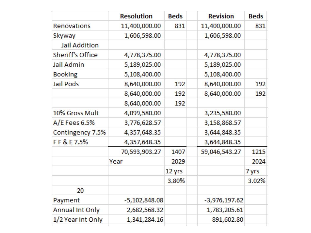|                         | <b>Resolution</b> | <b>Beds</b> | <b>Revision</b> | <b>Beds</b> |
|-------------------------|-------------------|-------------|-----------------|-------------|
| Renovations             | 11,400,000.00     | 831         | 11,400,000.00   | 831         |
| Skyway                  | 1,606,598.00      |             | 1,606,598.00    |             |
| <b>Jail Addition</b>    |                   |             |                 |             |
| <b>Sheriff's Office</b> | 4,778,375.00      |             | 4,778,375.00    |             |
| <b>Jail Admin</b>       | 5,189,025.00      |             | 5,189,025.00    |             |
| <b>Booking</b>          | 5,108,400.00      |             | 5,108,400.00    |             |
| <b>Jail Pods</b>        | 8,640,000.00      | 192         | 8,640,000.00    | 192         |
|                         | 8,640,000.00      | 192         | 8,640,000.00    | 192         |
|                         | 8,640,000.00      | 192         |                 |             |
| 10% Gross Mult          | 4,099,580.00      |             | 3,235,580.00    |             |
| A/E Fees 6.5%           | 3,776,628.57      |             | 3,158,868.57    |             |
| Contingency 7.5%        | 4,357,648.35      |             | 3,644,848.35    |             |
| FF&E7.5%                | 4,357,648.35      |             | 3,644,848.35    |             |
|                         | 70,593,903.27     | 1407        | 59,046,543.27   | 1215        |
|                         | Year              | 2029        |                 | 2024        |
|                         |                   | 12 yrs      |                 | 7 yrs       |
|                         |                   | 3.80%       |                 | 3.02%       |
| 20                      |                   |             |                 |             |
| Payment                 | $-5,102,848.08$   |             | $-3,976,197.62$ |             |
| <b>Annual Int Only</b>  | 2,682,568.32      |             | 1,783,205.61    |             |
| 1/2 Year Int Only       | 1,341,284.16      |             | 891,602.80      |             |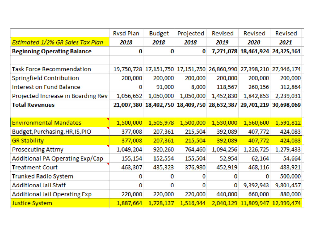|                                      | <b>Rysd Plan</b> | <b>Budget</b>         | Projected                                   | Revised               | Revised    | Revised               |
|--------------------------------------|------------------|-----------------------|---------------------------------------------|-----------------------|------------|-----------------------|
| Estimated 1/2% GR Sales Tax Plan     | 2018             | 2018                  | 2018                                        | 2019                  | 2020       | 2021                  |
| <b>Beginning Operating Balance</b>   | 0                | 0                     | 0                                           | 7,271,078             | 18,461,924 | 24,325,161            |
|                                      |                  |                       |                                             |                       |            |                       |
| <b>Task Force Recommendation</b>     |                  | 19,750,728 17,151,750 |                                             | 17,151,750 26,860,990 |            | 27,398,210 27,946,174 |
| Springfield Contribution             | 200,000          | 200,000               | 200,000                                     | 200,000               | 200,000    | 200,000               |
| <b>Interest on Fund Balance</b>      | 0                | 91,000                | 8,000                                       | 118,567               | 260,156    | 312,864               |
| Projected Increase in Boarding Rev   | 1,056,652        | 1,050,000             | 1,050,000                                   | 1,452,830             | 1,842,853  | 2,239,031             |
| <b>Total Revenues</b>                | 21,007,380       |                       | 18,492,750 18,409,750 28,632,387 29,701,219 |                       |            | 30,698,069            |
|                                      |                  |                       |                                             |                       |            |                       |
| <b>Environmental Mandates</b>        | 1,500,000        | 1,505,978             | 1,500,000                                   | 1,530,000             | 1,560,600  | 1,591,812             |
| Budget, Purchasing, HR, IS, PIO      | 377,008          | 207,361               | 215,504                                     | 392,089               | 407,772    | 424,083               |
| <b>GR Stability</b>                  | 377,008          | 207,361               | 215,504                                     | 392,089               | 407,772    | 424,083               |
| <b>Prosecuting Attrny</b>            | 1,049,204        | 920,260               | 764,460                                     | 1,094,256             | 1,226,725  | 1,279,433             |
| Additional PA Operating Exp/Cap      | 155,154          | 152,554               | 155,504                                     | 52,954                | 62,164     | 54,664                |
| <b>Treatment Court</b>               | 463,307          | 435,323               | 376,980                                     | 452,919               | 468,116    | 483,921               |
| <b>Trunked Radio System</b>          |                  |                       |                                             | 0                     | 0          | 500,000               |
| <b>Additional Jail Staff</b>         | 0                | o                     | $\Omega$                                    | 0                     | 9,392,943  | 9,801,457             |
| <b>Additional Jail Operating Exp</b> | 220,000          | 220,000               | 220,000                                     | 440,000               | 660,000    | 880,000               |
| <b>Justice System</b>                | 1,887,664        | 1,728,137             | 1,516,944                                   | 2,040,129             |            | 11,809,947 12,999,474 |